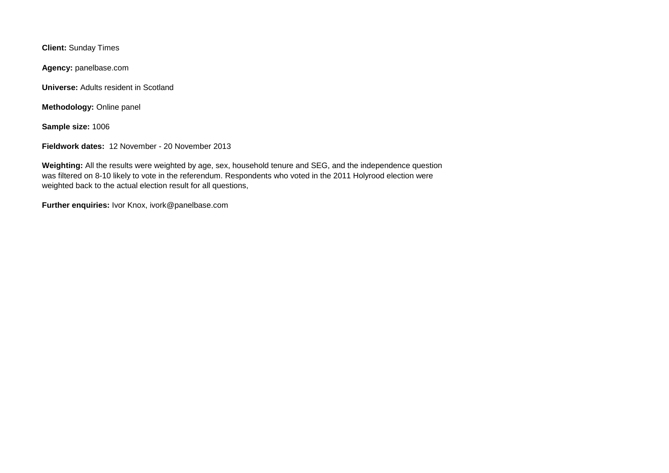**Client:** Sunday Times

**Agency:** panelbase.com

**Universe:** Adults resident in Scotland

**Methodology:** Online panel

**Sample size:** 1006

**Fieldwork dates:** 12 November - 20 November 2013

**Weighting:** All the results were weighted by age, sex, household tenure and SEG, and the independence question was filtered on 8-10 likely to vote in the referendum. Respondents who voted in the 2011 Holyrood election were weighted back to the actual election result for all questions,

**Further enquiries:** Ivor Knox, ivork@panelbase.com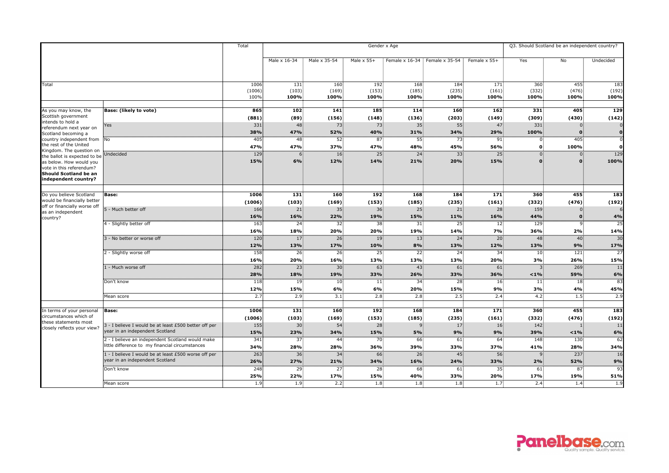|                                                                                                                                                                                                                                                                                                                                                        |                                                                                                     | Total                   | Gender x Age           |                               |                        |                          |                        |                        |                                  | Q3. Should Scotland be an independent country? |                        |  |
|--------------------------------------------------------------------------------------------------------------------------------------------------------------------------------------------------------------------------------------------------------------------------------------------------------------------------------------------------------|-----------------------------------------------------------------------------------------------------|-------------------------|------------------------|-------------------------------|------------------------|--------------------------|------------------------|------------------------|----------------------------------|------------------------------------------------|------------------------|--|
|                                                                                                                                                                                                                                                                                                                                                        |                                                                                                     |                         | Male x 16-34           | Male x 35-54                  | Male $\times$ 55+      | Female x 16-34           | Female x 35-54         | Female x 55+           | Yes                              | No                                             | Undecided              |  |
| <b>Total</b>                                                                                                                                                                                                                                                                                                                                           |                                                                                                     | 1006<br>(1006)<br>100%  | 131<br>(103)<br>100%   | 160<br>(169)<br>100%          | 192<br>(153)<br>100%   | 168<br>(185)<br>100%     | 184<br>(235)<br>100%   | 171<br>(161)<br>100%   | 360<br>(332)<br>100%             | 455<br>(476)<br>100%                           | 183<br>(192)<br>100%   |  |
| As you may know, the<br>Scottish government<br>intends to hold a<br>referendum next year on<br>Scotland becoming a<br>country independent from No<br>the rest of the United<br>Kingdom. The question on<br>the ballot is expected to be<br>as below. How would you<br>vote in this referendum?<br><b>Should Scotland be an</b><br>independent country? | <b>Base:</b> (likely to vote)                                                                       | 865                     | 102                    | 141                           | 185                    | 114                      | 160                    | 162                    | 331                              | 405                                            | 129                    |  |
|                                                                                                                                                                                                                                                                                                                                                        | Yes                                                                                                 | (881)<br>331            | (89)<br>48             | (156)<br>73                   | (148)<br>73            | (136)<br>35 <sup>1</sup> | (203)<br>55            | (149)<br>47            | (309)<br>331                     | (430)                                          | (142)                  |  |
|                                                                                                                                                                                                                                                                                                                                                        |                                                                                                     | 38%<br>405              | 47%<br>48              | <b>52%</b><br>52 <sup>2</sup> | 40%<br>87 <sub>3</sub> | 31%<br>55 <sup>2</sup>   | 34%<br>73.             | 29%<br>91              | 100%<br>$0^{\circ}$              | 405                                            | 0                      |  |
|                                                                                                                                                                                                                                                                                                                                                        | Undecided                                                                                           | 47%<br>129              | 47%<br>6               | 37%<br>16 <sup>1</sup>        | 47%<br>25 <sub>5</sub> | 48%<br>24                | 45%<br>33              | 56%<br>25 <sup>2</sup> | $\mathbf 0$<br>$0^{\frac{1}{2}}$ | 100%                                           | 0<br>129               |  |
|                                                                                                                                                                                                                                                                                                                                                        |                                                                                                     | 15%                     | 6%                     | 12%                           | 14%                    | 21%                      | 20%                    | 15%                    |                                  |                                                | 100%                   |  |
| Do you believe Scotland<br>would be financially better<br>off or financially worse off<br>as an independent<br>country?                                                                                                                                                                                                                                | <b>Base:</b>                                                                                        | 1006<br>(1006)          | 131<br>(103)           | 160<br>(169)                  | 192<br>(153)           | 168<br>(185)             | 184<br>(235)           | 171<br>(161)           | 360<br>(332)                     | 455<br>(476)                                   | 183<br>(192)           |  |
|                                                                                                                                                                                                                                                                                                                                                        | 5 - Much better off                                                                                 | 166<br>16%              | 21<br>16%              | 35 <sub>5</sub><br>22%        | 36<br>19%              | 25<br>15%                | 21<br>11%              | 28<br>16%              | 159<br>44%                       |                                                | <b>4%</b>              |  |
|                                                                                                                                                                                                                                                                                                                                                        | 4 - Slightly better off                                                                             | 163<br>16%              | 24 <sup>3</sup><br>18% | 32 <sub>1</sub><br>20%        | 38<br>20%              | 31<br>19%                | 25 <sub>1</sub><br>14% | 12 <sup>1</sup><br>7%  | 129<br>36%                       | $\mathbf{q}$<br>2%                             | 25<br>14%              |  |
|                                                                                                                                                                                                                                                                                                                                                        | 3 - No better or worse off                                                                          | 120<br>12%              | 17 <sup>5</sup><br>13% | 26 <sup>2</sup><br>17%        | 19<br>10%              | 13<br>8%                 | 24 <sup>3</sup><br>13% | 20 <sup>1</sup><br>12% | 48<br>13%                        | 40<br>9%                                       | $\overline{30}$<br>17% |  |
|                                                                                                                                                                                                                                                                                                                                                        | 2 - Slightly worse off                                                                              | $\overline{158}$<br>16% | 26 <sup>2</sup><br>20% | 26 <sup>2</sup><br>16%        | 25 <sub>1</sub><br>13% | 22 <sub>1</sub><br>13%   | 24.<br>13%             | 34 <sup>3</sup><br>20% | 10 <sub>1</sub><br>3%            | 121<br>26%                                     | $\overline{27}$<br>15% |  |
|                                                                                                                                                                                                                                                                                                                                                        | 1 - Much worse off                                                                                  | 282<br>28%              | 23 <sub>1</sub><br>18% | 30 <sub>1</sub><br>19%        | 63<br>33%              | 43 <sup>3</sup><br>26%   | 61<br>33%              | 61 <sup>3</sup><br>36% | 3<br>< 1%                        | 269<br>59%                                     | 11<br>6%               |  |
|                                                                                                                                                                                                                                                                                                                                                        | Don't know                                                                                          | 118<br>12%              | 19 <sup>3</sup><br>15% | 10 <sub>1</sub><br>6%         | 11 <br>6%              | 34<br>20%                | 28<br>15%              | 16 <sub>1</sub><br>9%  | 11 <br>3%                        | 18<br>4%                                       | 83<br>45%              |  |
|                                                                                                                                                                                                                                                                                                                                                        | Mean score                                                                                          | 2.7                     | 2.9 <sub>1</sub>       | 3.1 <sup>3</sup>              | 2.8                    | 2.8 <sup>1</sup>         | 2.5 <sup>2</sup>       | 2.4 <sup>3</sup>       | 4.2 <sup>3</sup>                 | 1.5                                            | 2.9                    |  |
| In terms of your personal<br>circumstances which of<br>these statements most<br>closely reflects your view?                                                                                                                                                                                                                                            | <b>Base:</b>                                                                                        | 1006<br>(1006)          | 131<br>(103)           | 160<br>(169)                  | 192<br>(153)           | 168<br>(185)             | 184<br>(235)           | 171<br>(161)           | 360<br>(332)                     | 455<br>(476)                                   | 183<br>(192)           |  |
|                                                                                                                                                                                                                                                                                                                                                        | 3 - I believe I would be at least £500 better off per<br>year in an independent Scotland            | 155<br>15%              | 30<br>23%              | 54<br>34%                     | 28<br>15%              | <b>5%</b>                | 17<br>9%               | <b>16</b><br>9%        | 142<br>39%                       | $< 1\%$                                        | 11<br>6%               |  |
|                                                                                                                                                                                                                                                                                                                                                        | 2 - I believe an independent Scotland would make<br>little difference to my financial circumstances | 341<br>34%              | 37<br><b>28%</b>       | 44 <sup>3</sup><br>28%        | 70<br>36%              | 66<br>39%                | 61<br>33%              | 64<br>37%              | 148<br>41%                       | 130<br>28%                                     | 62<br>34%              |  |
|                                                                                                                                                                                                                                                                                                                                                        | 1 - I believe I would be at least £500 worse off per<br>year in an independent Scotland             | 263<br>26%              | 36 <sub>1</sub><br>27% | 34<br>21%                     | 66<br>34%              | 26 <sub>1</sub><br>16%   | 45 <sub>1</sub><br>24% | 56<br>33%              | 9 <sup>1</sup><br>2%             | 237<br>52%                                     | 16<br>9%               |  |
|                                                                                                                                                                                                                                                                                                                                                        | Don't know                                                                                          | 248<br>25%              | 29 <sub>1</sub><br>22% | 27 <sub>5</sub><br>17%        | 28<br>15%              | 68 <sup>3</sup><br>40%   | 61:<br>33%             | 35 <sub>5</sub><br>20% | 61<br><b>17%</b>                 | 87<br>19%                                      | 93<br>51%              |  |
|                                                                                                                                                                                                                                                                                                                                                        | Mean score                                                                                          | 1.9                     | 1.9 <sub>1</sub>       | 2.2                           | 1.8                    | 1.8 <sup>1</sup>         | 1.8 <sup>1</sup>       | 1.7 <sub>1</sub>       | 2.4 <sup>3</sup>                 | 1.4                                            | 1.9                    |  |